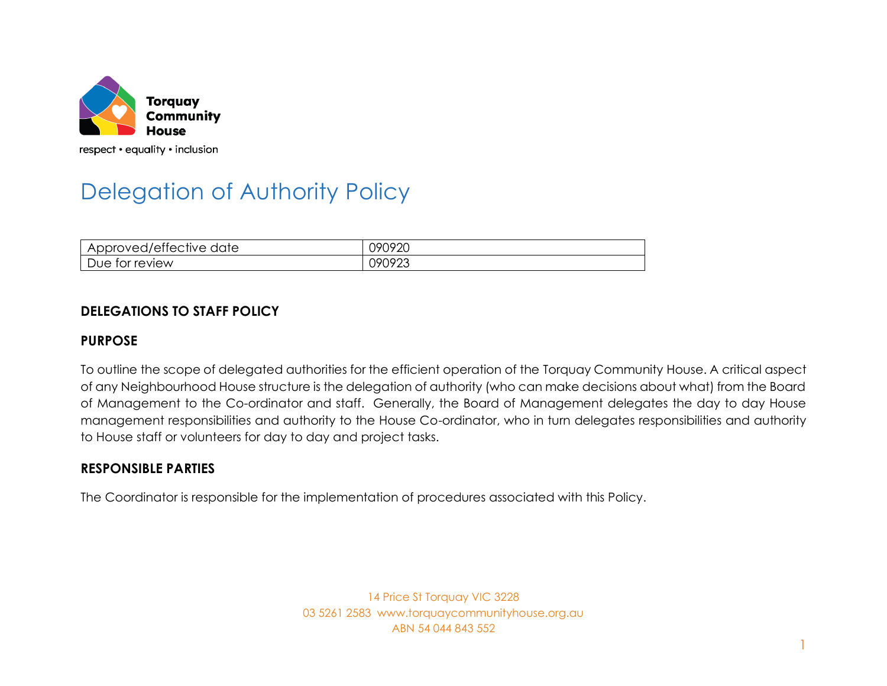

# Delegation of Authority Policy

| $\sim$<br>proved<br>date<br>/ettective<br>טוניי.<br>へん<br>◡<br>~ | <u>NGUQVU</u><br>70<br>∠⊾ |
|------------------------------------------------------------------|---------------------------|
| review                                                           | U8U633                    |
| Due                                                              | ∼                         |
| TOL                                                              | v / v                     |

## **DELEGATIONS TO STAFF POLICY**

#### **PURPOSE**

To outline the scope of delegated authorities for the efficient operation of the Torquay Community House. A critical aspect of any Neighbourhood House structure is the delegation of authority (who can make decisions about what) from the Board of Management to the Co-ordinator and staff. Generally, the Board of Management delegates the day to day House management responsibilities and authority to the House Co-ordinator, who in turn delegates responsibilities and authority to House staff or volunteers for day to day and project tasks.

# **RESPONSIBLE PARTIES**

The Coordinator is responsible for the implementation of procedures associated with this Policy.

14 Price St Torquay VIC 3228 03 5261 2583 www.torquaycommunityhouse.org.au ABN 54 044 843 552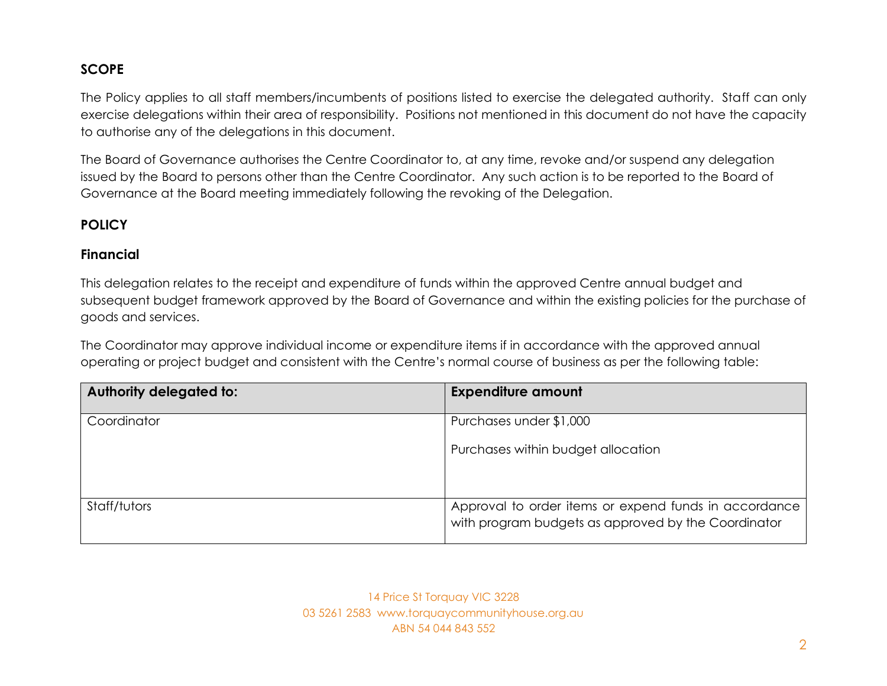# **SCOPE**

The Policy applies to all staff members/incumbents of positions listed to exercise the delegated authority. Staff can only exercise delegations within their area of responsibility. Positions not mentioned in this document do not have the capacity to authorise any of the delegations in this document.

The Board of Governance authorises the Centre Coordinator to, at any time, revoke and/or suspend any delegation issued by the Board to persons other than the Centre Coordinator. Any such action is to be reported to the Board of Governance at the Board meeting immediately following the revoking of the Delegation.

#### **POLICY**

#### **Financial**

This delegation relates to the receipt and expenditure of funds within the approved Centre annual budget and subsequent budget framework approved by the Board of Governance and within the existing policies for the purchase of goods and services.

The Coordinator may approve individual income or expenditure items if in accordance with the approved annual operating or project budget and consistent with the Centre's normal course of business as per the following table:

| <b>Authority delegated to:</b> | <b>Expenditure amount</b>                                                                                    |
|--------------------------------|--------------------------------------------------------------------------------------------------------------|
| Coordinator                    | Purchases under \$1,000                                                                                      |
|                                | Purchases within budget allocation                                                                           |
| Staff/tutors                   | Approval to order items or expend funds in accordance<br>with program budgets as approved by the Coordinator |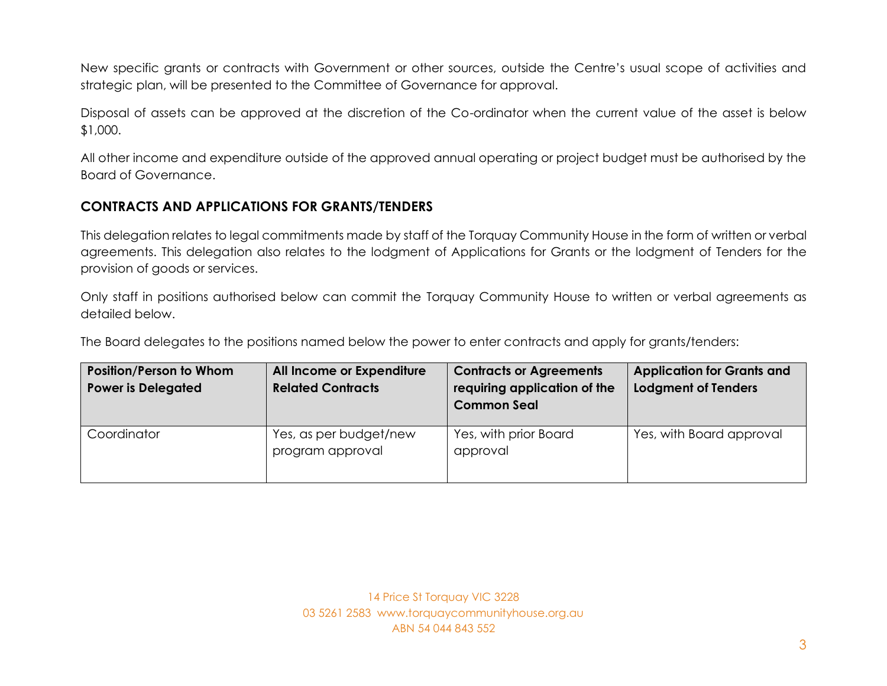New specific grants or contracts with Government or other sources, outside the Centre's usual scope of activities and strategic plan, will be presented to the Committee of Governance for approval.

Disposal of assets can be approved at the discretion of the Co-ordinator when the current value of the asset is below \$1,000.

All other income and expenditure outside of the approved annual operating or project budget must be authorised by the Board of Governance.

#### **CONTRACTS AND APPLICATIONS FOR GRANTS/TENDERS**

This delegation relates to legal commitments made by staff of the Torquay Community House in the form of written or verbal agreements. This delegation also relates to the lodgment of Applications for Grants or the lodgment of Tenders for the provision of goods or services.

Only staff in positions authorised below can commit the Torquay Community House to written or verbal agreements as detailed below.

The Board delegates to the positions named below the power to enter contracts and apply for grants/tenders:

| Position/Person to Whom<br><b>Power is Delegated</b> | All Income or Expenditure<br><b>Related Contracts</b> | <b>Contracts or Agreements</b><br>requiring application of the<br><b>Common Seal</b> | <b>Application for Grants and</b><br><b>Lodgment of Tenders</b> |
|------------------------------------------------------|-------------------------------------------------------|--------------------------------------------------------------------------------------|-----------------------------------------------------------------|
| Coordinator                                          | Yes, as per budget/new<br>program approval            | Yes, with prior Board<br>approval                                                    | Yes, with Board approval                                        |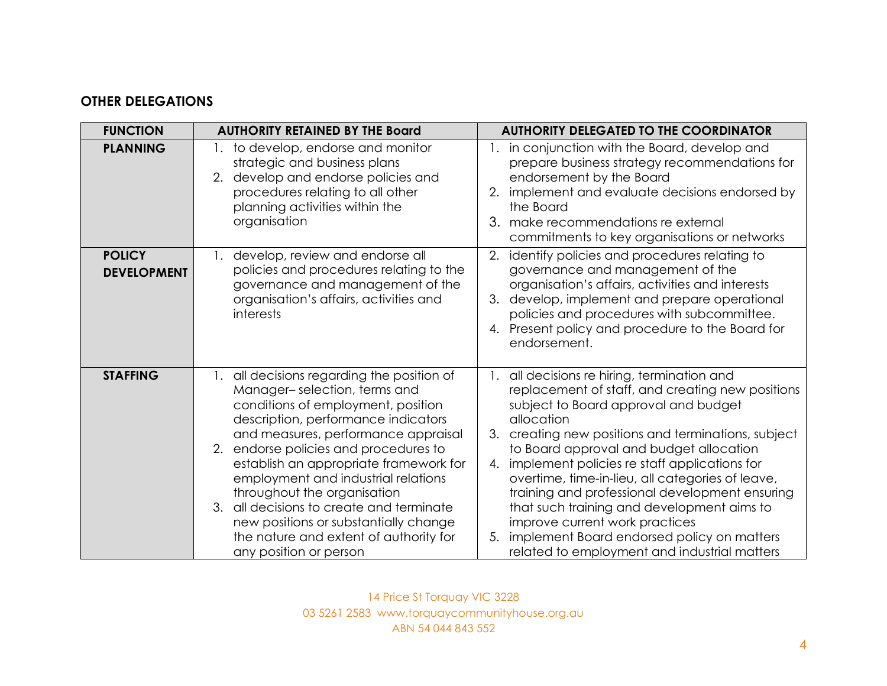## **OTHER DELEGATIONS**

| <b>FUNCTION</b>                     | <b>AUTHORITY RETAINED BY THE Board</b>                                                                                                                                                                                                                                                                                                                                                                                                                                                                                    | <b>AUTHORITY DELEGATED TO THE COORDINATOR</b>                                                                                                                                                                                                                                                                                                                                                                                                                                                                                                                                                                 |
|-------------------------------------|---------------------------------------------------------------------------------------------------------------------------------------------------------------------------------------------------------------------------------------------------------------------------------------------------------------------------------------------------------------------------------------------------------------------------------------------------------------------------------------------------------------------------|---------------------------------------------------------------------------------------------------------------------------------------------------------------------------------------------------------------------------------------------------------------------------------------------------------------------------------------------------------------------------------------------------------------------------------------------------------------------------------------------------------------------------------------------------------------------------------------------------------------|
| <b>PLANNING</b>                     | 1. to develop, endorse and monitor<br>strategic and business plans<br>develop and endorse policies and<br>2.<br>procedures relating to all other<br>planning activities within the<br>organisation                                                                                                                                                                                                                                                                                                                        | 1. in conjunction with the Board, develop and<br>prepare business strategy recommendations for<br>endorsement by the Board<br>implement and evaluate decisions endorsed by<br>2.<br>the Board<br>3.<br>make recommendations re external<br>commitments to key organisations or networks                                                                                                                                                                                                                                                                                                                       |
| <b>POLICY</b><br><b>DEVELOPMENT</b> | develop, review and endorse all<br>policies and procedures relating to the<br>governance and management of the<br>organisation's affairs, activities and<br>interests                                                                                                                                                                                                                                                                                                                                                     | identify policies and procedures relating to<br>2.<br>governance and management of the<br>organisation's affairs, activities and interests<br>develop, implement and prepare operational<br>3.<br>policies and procedures with subcommittee.<br>4. Present policy and procedure to the Board for<br>endorsement.                                                                                                                                                                                                                                                                                              |
| <b>STAFFING</b>                     | all decisions regarding the position of<br>1.<br>Manager-selection, terms and<br>conditions of employment, position<br>description, performance indicators<br>and measures, performance appraisal<br>endorse policies and procedures to<br>2.<br>establish an appropriate framework for<br>employment and industrial relations<br>throughout the organisation<br>all decisions to create and terminate<br>3.<br>new positions or substantially change<br>the nature and extent of authority for<br>any position or person | all decisions re hiring, termination and<br>1.<br>replacement of staff, and creating new positions<br>subject to Board approval and budget<br>allocation<br>creating new positions and terminations, subject<br>3.<br>to Board approval and budget allocation<br>implement policies re staff applications for<br>4.<br>overtime, time-in-lieu, all categories of leave,<br>training and professional development ensuring<br>that such training and development aims to<br>improve current work practices<br>implement Board endorsed policy on matters<br>5.<br>related to employment and industrial matters |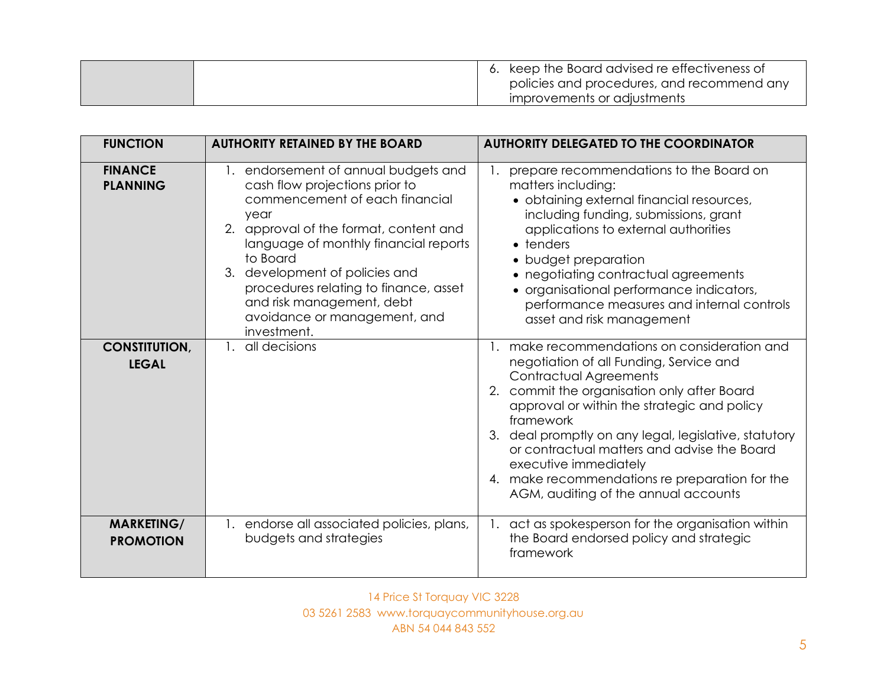| keep the Board advised re effectiveness of<br>policies and procedures, and recommend any<br>improvements or adjustments |
|-------------------------------------------------------------------------------------------------------------------------|
|                                                                                                                         |

| <b>FUNCTION</b>                       | <b>AUTHORITY RETAINED BY THE BOARD</b>                                                                                                                                                                                                                                                                                                                                              | <b>AUTHORITY DELEGATED TO THE COORDINATOR</b>                                                                                                                                                                                                                                                                                                                                                                                                                  |
|---------------------------------------|-------------------------------------------------------------------------------------------------------------------------------------------------------------------------------------------------------------------------------------------------------------------------------------------------------------------------------------------------------------------------------------|----------------------------------------------------------------------------------------------------------------------------------------------------------------------------------------------------------------------------------------------------------------------------------------------------------------------------------------------------------------------------------------------------------------------------------------------------------------|
| <b>FINANCE</b><br><b>PLANNING</b>     | endorsement of annual budgets and<br>$\mathbf{L}$<br>cash flow projections prior to<br>commencement of each financial<br>year<br>2. approval of the format, content and<br>language of monthly financial reports<br>to Board<br>3. development of policies and<br>procedures relating to finance, asset<br>and risk management, debt<br>avoidance or management, and<br>investment. | prepare recommendations to the Board on<br>matters including:<br>• obtaining external financial resources,<br>including funding, submissions, grant<br>applications to external authorities<br>• tenders<br>• budget preparation<br>• negotiating contractual agreements<br>• organisational performance indicators,<br>performance measures and internal controls<br>asset and risk management                                                                |
| <b>CONSTITUTION,</b><br><b>LEGAL</b>  | all decisions                                                                                                                                                                                                                                                                                                                                                                       | 1. make recommendations on consideration and<br>negotiation of all Funding, Service and<br><b>Contractual Agreements</b><br>2. commit the organisation only after Board<br>approval or within the strategic and policy<br>framework<br>3. deal promptly on any legal, legislative, statutory<br>or contractual matters and advise the Board<br>executive immediately<br>4. make recommendations re preparation for the<br>AGM, auditing of the annual accounts |
| <b>MARKETING/</b><br><b>PROMOTION</b> | 1. endorse all associated policies, plans,<br>budgets and strategies                                                                                                                                                                                                                                                                                                                | act as spokesperson for the organisation within<br>the Board endorsed policy and strategic<br>framework                                                                                                                                                                                                                                                                                                                                                        |